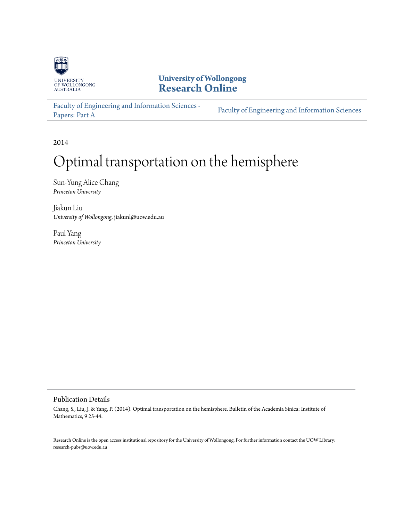

**University of Wollongong [Research Online](http://ro.uow.edu.au)**

[Faculty of Engineering and Information Sciences -](http://ro.uow.edu.au/eispapers) Paculty of Engineering and *Information Sciences*<br>[Papers: Part A](http://ro.uow.edu.au/eispapers)

2014

# Optimal transportation on the hemisphere

Sun-Yung Alice Chang *Princeton University*

Jiakun Liu *University of Wollongong*, jiakunl@uow.edu.au

Paul Yang *Princeton University*

# Publication Details

Chang, S., Liu, J. & Yang, P. (2014). Optimal transportation on the hemisphere. Bulletin of the Academia Sinica: Institute of Mathematics, 9 25-44.

Research Online is the open access institutional repository for the University of Wollongong. For further information contact the UOW Library: research-pubs@uow.edu.au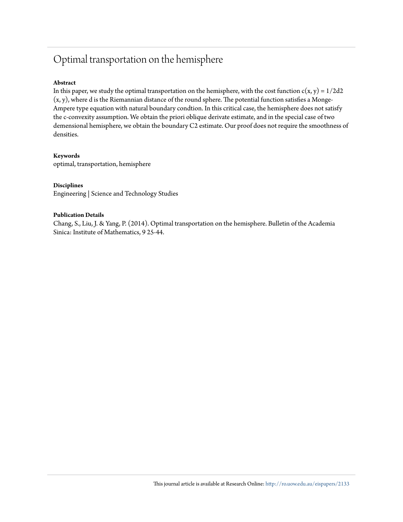# Optimal transportation on the hemisphere

# **Abstract**

In this paper, we study the optimal transportation on the hemisphere, with the cost function  $c(x, y) = 1/2d2$ (x, y), where d is the Riemannian distance of the round sphere. The potential function satisfies a Monge-Ampere type equation with natural boundary condtion. In this critical case, the hemisphere does not satisfy the c-convexity assumption. We obtain the priori oblique derivate estimate, and in the special case of two demensional hemisphere, we obtain the boundary C2 estimate. Our proof does not require the smoothness of densities.

# **Keywords**

optimal, transportation, hemisphere

# **Disciplines**

Engineering | Science and Technology Studies

# **Publication Details**

Chang, S., Liu, J. & Yang, P. (2014). Optimal transportation on the hemisphere. Bulletin of the Academia Sinica: Institute of Mathematics, 9 25-44.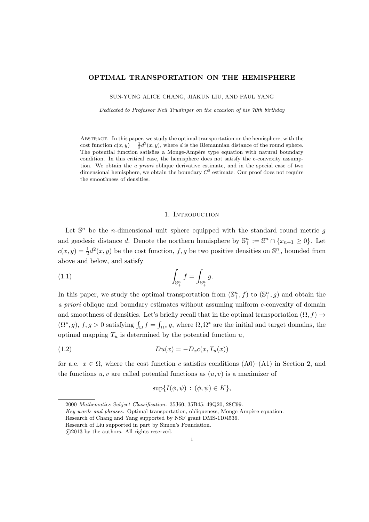### OPTIMAL TRANSPORTATION ON THE HEMISPHERE

SUN-YUNG ALICE CHANG, JIAKUN LIU, AND PAUL YANG

Dedicated to Professor Neil Trudinger on the occasion of his 70th birthday

ABSTRACT. In this paper, we study the optimal transportation on the hemisphere, with the cost function  $c(x, y) = \frac{1}{2}d^2(x, y)$ , where d is the Riemannian distance of the round sphere. The potential function satisfies a Monge-Ampère type equation with natural boundary condition. In this critical case, the hemisphere does not satisfy the c-convexity assumption. We obtain the a priori oblique derivative estimate, and in the special case of two dimensional hemisphere, we obtain the boundary  $C<sup>2</sup>$  estimate. Our proof does not require the smoothness of densities.

# <span id="page-2-1"></span>1. INTRODUCTION

Let  $\mathbb{S}^n$  be the *n*-dimensional unit sphere equipped with the standard round metric g and geodesic distance d. Denote the northern hemisphere by  $\mathbb{S}^n_+ := \mathbb{S}^n \cap \{x_{n+1} \geq 0\}$ . Let  $c(x, y) = \frac{1}{2}d^2(x, y)$  be the cost function, f, g be two positive densities on  $\mathbb{S}^n_+$ , bounded from above and below, and satisfy

(1.1) 
$$
\int_{\mathbb{S}^n_+} f = \int_{\mathbb{S}^n_+} g.
$$

In this paper, we study the optimal transportation from  $(\mathbb{S}^n_+, f)$  to  $(\mathbb{S}^n_+, g)$  and obtain the a priori oblique and boundary estimates without assuming uniform c-convexity of domain and smoothness of densities. Let's briefly recall that in the optimal transportation  $(\Omega, f) \rightarrow$  $(\Omega^*, g)$ ,  $f, g > 0$  satisfying  $\int_{\Omega} f = \int_{\Omega^*} g$ , where  $\Omega, \Omega^*$  are the initial and target domains, the optimal mapping  $T_u$  is determined by the potential function  $u$ ,

$$
(1.2) \t\t D u(x) = -D_x c(x, T_u(x))
$$

for a.e.  $x \in \Omega$ , where the cost function c satisfies conditions (A0)–(A1) in Section 2, and the functions  $u, v$  are called potential functions as  $(u, v)$  is a maximizer of

<span id="page-2-0"></span>
$$
\sup\{I(\phi,\psi)\,:\,(\phi,\psi)\in K\},\
$$

<sup>2000</sup> Mathematics Subject Classification. 35J60, 35B45; 49Q20, 28C99.

Key words and phrases. Optimal transportation, obliqueness, Monge-Ampère equation.

Research of Chang and Yang supported by NSF grant DMS-1104536.

Research of Liu supported in part by Simon's Foundation.

c 2013 by the authors. All rights reserved.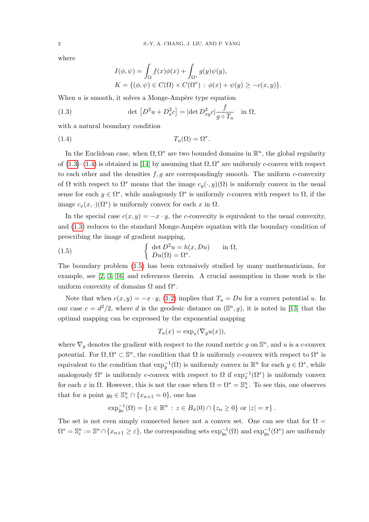where

<span id="page-3-1"></span><span id="page-3-0"></span>
$$
I(\phi, \psi) = \int_{\Omega} f(x)\phi(x) + \int_{\Omega^*} g(y)\psi(y),
$$
  
\n
$$
K = \{(\phi, \psi) \in C(\Omega) \times C(\Omega^*) : \phi(x) + \psi(y) \ge -c(x, y)\}.
$$

When  $u$  is smooth, it solves a Monge-Ampère type equation

(1.3) 
$$
\det [D^2 u + D_x^2 c] = |\det D_{xy}^2 c| \frac{f}{g \circ T_u} \quad \text{in } \Omega,
$$

with a natural boundary condition

(1.4)  $T_u(\Omega) = \Omega^*$ .

In the Euclidean case, when  $\Omega, \Omega^*$  are two bounded domains in  $\mathbb{R}^n$ , the global regularity of  $(1.3)$ – $(1.4)$  is obtained in [\[14\]](#page-17-0) by assuming that  $\Omega$ ,  $\Omega^*$  are uniformly c-convex with respect to each other and the densities  $f, g$  are correspondingly smooth. The uniform c-convexity of  $\Omega$  with respect to  $\Omega^*$  means that the image  $c_y(\cdot, y)(\Omega)$  is uniformly convex in the usual sense for each  $y \in \Omega^*$ , while analogously  $\Omega^*$  is uniformly c-convex with respect to  $\Omega$ , if the image  $c_x(x, \cdot)(\Omega^*)$  is uniformly convex for each x in  $\Omega$ .

In the special case  $c(x, y) = -x \cdot y$ , the c-convexity is equivalent to the usual convexity, and  $(1.3)$  reduces to the standard Monge-Ampère equation with the boundary condition of prescribing the image of gradient mapping,

<span id="page-3-2"></span>(1.5) 
$$
\begin{cases} \det D^2 u = h(x, Du) & \text{in } \Omega, \\ Du(\Omega) = \Omega^* . \end{cases}
$$

The boundary problem [\(1.5\)](#page-3-2) has been extensively studied by many mathematicians, for example, see [\[2,](#page-16-0) [3,](#page-16-1) [16\]](#page-17-1) and references therein. A crucial assumption in those work is the uniform convexity of domains  $\Omega$  and  $\Omega^*$ .

Note that when  $c(x, y) = -x \cdot y$ , [\(1.2\)](#page-2-0) implies that  $T_u = Du$  for a convex potential u. In our case  $c = d^2/2$ , where d is the geodesic distance on  $(\mathbb{S}^n, g)$ , it is noted in [\[13\]](#page-17-2) that the optimal mapping can be expressed by the exponential mapping

$$
T_u(x) = \exp_x(\nabla_g u(x)),
$$

where  $\nabla_g$  denotes the gradient with respect to the round metric g on  $\mathbb{S}^n$ , and u is a c-convex potential. For  $\Omega, \Omega^* \subset \mathbb{S}^n$ , the condition that  $\Omega$  is uniformly c-convex with respect to  $\Omega^*$  is equivalent to the condition that  $\exp_y^{-1}(\Omega)$  is uniformly convex in  $\mathbb{R}^n$  for each  $y \in \Omega^*$ , while analogously  $\Omega^*$  is uniformly c-convex with respect to  $\Omega$  if  $\exp_x^{-1}(\Omega^*)$  is uniformly convex for each x in  $\Omega$ . However, this is not the case when  $\Omega = \Omega^* = \mathbb{S}^n_+$ . To see this, one observes that for a point  $y_0 \in \mathbb{S}^n_+ \cap \{x_{n+1} = 0\}$ , one has

$$
\exp_{y_0}^{-1}(\Omega) = \{ z \in \mathbb{R}^n : z \in B_{\pi}(0) \cap \{ z_n \geq 0 \} \text{ or } |z| = \pi \}.
$$

The set is not even simply connected hence not a convex set. One can see that for  $\Omega =$  $\Omega^* = \mathbb{S}^n_{\varepsilon} := \mathbb{S}^n \cap \{x_{n+1} \geq \varepsilon\}$ , the corresponding sets  $\exp_{y_0}^{-1}(\Omega)$  and  $\exp_{y_0}^{-1}(\Omega^*)$  are uniformly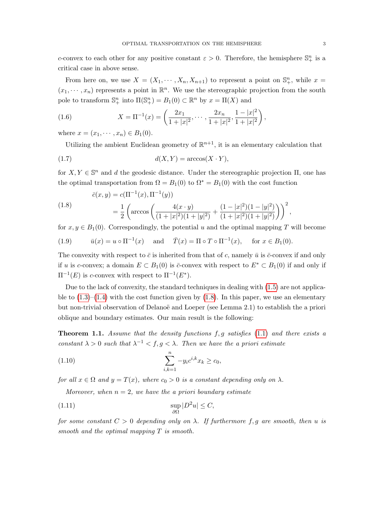c-convex to each other for any positive constant  $\varepsilon > 0$ . Therefore, the hemisphere  $\mathbb{S}^n_+$  is a critical case in above sense.

From here on, we use  $X = (X_1, \dots, X_n, X_{n+1})$  to represent a point on  $\mathbb{S}^n_+$ , while  $x =$  $(x_1, \dots, x_n)$  represents a point in  $\mathbb{R}^n$ . We use the stereographic projection from the south pole to transform  $\mathbb{S}^n_+$  into  $\Pi(\mathbb{S}^n_+) = B_1(0) \subset \mathbb{R}^n$  by  $x = \Pi(X)$  and

(1.6) 
$$
X = \Pi^{-1}(x) = \left(\frac{2x_1}{1+|x|^2}, \cdots, \frac{2x_n}{1+|x|^2}, \frac{1-|x|^2}{1+|x|^2}\right),
$$

where  $x = (x_1, \dots, x_n) \in B_1(0)$ .

Utilizing the ambient Euclidean geometry of  $\mathbb{R}^{n+1}$ , it is an elementary calculation that

$$
d(X,Y) = \arccos(X \cdot Y),
$$

for  $X, Y \in \mathbb{S}^n$  and d the geodesic distance. Under the stereographic projection  $\Pi$ , one has the optimal transportation from  $\Omega = B_1(0)$  to  $\Omega^* = B_1(0)$  with the cost function

<span id="page-4-0"></span>(1.8) 
$$
\bar{c}(x, y) = c(\Pi^{-1}(x), \Pi^{-1}(y))
$$

$$
= \frac{1}{2} \left( \arccos \left( \frac{4(x \cdot y)}{(1+|x|^2)(1+|y|^2)} + \frac{(1-|x|^2)(1-|y|^2)}{(1+|x|^2)(1+|y|^2)} \right) \right)^2,
$$

for  $x, y \in B_1(0)$ . Correspondingly, the potential u and the optimal mapping T will become

<span id="page-4-3"></span>(1.9) 
$$
\bar{u}(x) = u \circ \Pi^{-1}(x)
$$
 and  $\bar{T}(x) = \Pi \circ T \circ \Pi^{-1}(x)$ , for  $x \in B_1(0)$ .

The convexity with respect to  $\bar{c}$  is inherited from that of c, namely  $\bar{u}$  is  $\bar{c}$ -convex if and only if u is c-convex; a domain  $E \subset B_1(0)$  is  $\bar{c}$ -convex with respect to  $E^* \subset B_1(0)$  if and only if  $\Pi^{-1}(E)$  is c-convex with respect to  $\Pi^{-1}(E^*).$ 

Due to the lack of convexity, the standard techniques in dealing with  $(1.5)$  are not applicable to  $(1.3)$ – $(1.4)$  with the cost function given by  $(1.8)$ . In this paper, we use an elementary but non-trivial observation of Delanoë and Loeper (see Lemma 2.1) to establish the a priori oblique and boundary estimates. Our main result is the following:

<span id="page-4-4"></span>**Theorem 1.1.** Assume that the density functions  $f, g$  satisfies [\(1.1\)](#page-2-1) and there exists a constant  $\lambda > 0$  such that  $\lambda^{-1} < f, g < \lambda$ . Then we have the a priori estimate

<span id="page-4-2"></span>(1.10) 
$$
\sum_{i,k=1}^{n} -y_i c^{i,k} x_k \ge c_0,
$$

for all  $x \in \Omega$  and  $y = T(x)$ , where  $c_0 > 0$  is a constant depending only on  $\lambda$ .

<span id="page-4-1"></span>Moreover, when  $n = 2$ , we have the a priori boundary estimate

(1.11) 
$$
\sup_{\partial\Omega}|D^2u|\leq C,
$$

for some constant  $C > 0$  depending only on  $\lambda$ . If furthermore f, g are smooth, then u is smooth and the optimal mapping T is smooth.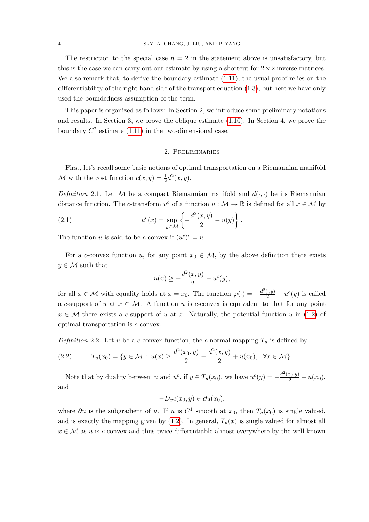The restriction to the special case  $n = 2$  in the statement above is unsatisfactory, but this is the case we can carry out our estimate by using a shortcut for  $2 \times 2$  inverse matrices. We also remark that, to derive the boundary estimate  $(1.11)$ , the usual proof relies on the differentiability of the right hand side of the transport equation [\(1.3\)](#page-3-0), but here we have only used the boundedness assumption of the term.

This paper is organized as follows: In Section 2, we introduce some preliminary notations and results. In Section 3, we prove the oblique estimate [\(1.10\)](#page-4-2). In Section 4, we prove the boundary  $C^2$  estimate [\(1.11\)](#page-4-1) in the two-dimensional case.

# 2. Preliminaries

First, let's recall some basic notions of optimal transportation on a Riemannian manifold M with the cost function  $c(x, y) = \frac{1}{2}d^2(x, y)$ .

Definition 2.1. Let M be a compact Riemannian manifold and  $d(\cdot, \cdot)$  be its Riemannian distance function. The c-transform  $u^c$  of a function  $u : \mathcal{M} \to \mathbb{R}$  is defined for all  $x \in \mathcal{M}$  by

(2.1) 
$$
u^{c}(x) = \sup_{y \in \mathcal{M}} \left\{-\frac{d^{2}(x, y)}{2} - u(y)\right\}.
$$

The function u is said to be c-convex if  $(u^c)^c = u$ .

For a c-convex function u, for any point  $x_0 \in \mathcal{M}$ , by the above definition there exists  $y \in \mathcal{M}$  such that

$$
u(x) \ge -\frac{d^2(x, y)}{2} - u^c(y),
$$

for all  $x \in \mathcal{M}$  with equality holds at  $x = x_0$ . The function  $\varphi(\cdot) = -\frac{d^2(\cdot, y)}{2} - u^c(y)$  is called a c-support of u at  $x \in M$ . A function u is c-convex is equivalent to that for any point  $x \in \mathcal{M}$  there exists a c-support of u at x. Naturally, the potential function u in [\(1.2\)](#page-2-0) of optimal transportation is c-convex.

Definition 2.2. Let u be a c-convex function, the c-normal mapping  $T_u$  is defined by

$$
(2.2) \t T_u(x_0) = \{ y \in \mathcal{M} : u(x) \ge \frac{d^2(x_0, y)}{2} - \frac{d^2(x, y)}{2} + u(x_0), \ \forall x \in \mathcal{M} \}.
$$

Note that by duality between u and  $u^c$ , if  $y \in T_u(x_0)$ , we have  $u^c(y) = -\frac{d^2(x_0, y)}{2} - u(x_0)$ , and

 $-D<sub>x</sub>c(x<sub>0</sub>, y) \in \partial u(x<sub>0</sub>),$ 

where  $\partial u$  is the subgradient of u. If u is  $C^1$  smooth at  $x_0$ , then  $T_u(x_0)$  is single valued, and is exactly the mapping given by  $(1.2)$ . In general,  $T_u(x)$  is single valued for almost all  $x \in \mathcal{M}$  as u is c-convex and thus twice differentiable almost everywhere by the well-known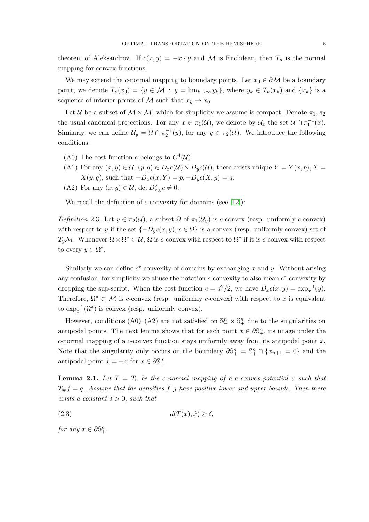theorem of Aleksandrov. If  $c(x, y) = -x \cdot y$  and M is Euclidean, then  $T_u$  is the normal mapping for convex functions.

We may extend the c-normal mapping to boundary points. Let  $x_0 \in \partial M$  be a boundary point, we denote  $T_u(x_0) = \{y \in \mathcal{M} : y = \lim_{k \to \infty} y_k\}$ , where  $y_k \in T_u(x_k)$  and  $\{x_k\}$  is a sequence of interior points of M such that  $x_k \to x_0$ .

Let U be a subset of  $M \times M$ , which for simplicity we assume is compact. Denote  $\pi_1, \pi_2$ the usual canonical projections. For any  $x \in \pi_1(\mathcal{U})$ , we denote by  $\mathcal{U}_x$  the set  $\mathcal{U} \cap \pi_1^{-1}(x)$ . Similarly, we can define  $\mathcal{U}_y = \mathcal{U} \cap \pi_2^{-1}(y)$ , for any  $y \in \pi_2(\mathcal{U})$ . We introduce the following conditions:

- (A0) The cost function c belongs to  $C^4(\mathcal{U})$ .
- (A1) For any  $(x, y) \in \mathcal{U}$ ,  $(p, q) \in D_x c(\mathcal{U}) \times D_y c(\mathcal{U})$ , there exists unique  $Y = Y(x, p)$ ,  $X =$  $X(y, q)$ , such that  $-D_x c(x, Y) = p, -D_y c(X, y) = q$ .
- (A2) For any  $(x, y) \in \mathcal{U}$ , det  $D_{x,y}^2 c \neq 0$ .

We recall the definition of  $c$ -convexity for domains (see [\[12\]](#page-17-3)):

Definition 2.3. Let  $y \in \pi_2(\mathcal{U})$ , a subset  $\Omega$  of  $\pi_1(\mathcal{U}_y)$  is c-convex (resp. uniformly c-convex) with respect to y if the set  $\{-D_yc(x,y), x \in \Omega\}$  is a convex (resp. uniformly convex) set of  $T_yM$ . Whenever  $\Omega \times \Omega^* \subset \mathcal{U}, \Omega$  is c-convex with respect to  $\Omega^*$  if it is c-convex with respect to every  $y \in \Omega^*$ .

Similarly we can define  $c^*$ -convexity of domains by exchanging x and y. Without arising any confusion, for simplicity we abuse the notation  $c$ -convexity to also mean  $c^*$ -convexity by dropping the sup-script. When the cost function  $c = d^2/2$ , we have  $D_x c(x, y) = \exp_x^{-1}(y)$ . Therefore,  $\Omega^* \subset \mathcal{M}$  is c-convex (resp. uniformly c-convex) with respect to x is equivalent to  $\exp_x^{-1}(\Omega^*)$  is convex (resp. uniformly convex).

However, conditions (A0)–(A2) are not satisfied on  $\mathbb{S}^n_+ \times \mathbb{S}^n_+$  due to the singularities on antipodal points. The next lemma shows that for each point  $x \in \partial \mathbb{S}_{+}^{n}$ , its image under the c-normal mapping of a c-convex function stays uniformly away from its antipodal point  $\hat{x}$ . Note that the singularity only occurs on the boundary  $\partial \mathbb{S}^n_+ = \mathbb{S}^n_+ \cap \{x_{n+1} = 0\}$  and the antipodal point  $\hat{x} = -x$  for  $x \in \partial \mathbb{S}_{+}^{n}$ .

<span id="page-6-1"></span>**Lemma 2.1.** Let  $T = T_u$  be the c-normal mapping of a c-convex potential u such that  $T_{\#}f = g$ . Assume that the densities f, g have positive lower and upper bounds. Then there exists a constant  $\delta > 0$ , such that

<span id="page-6-0"></span>
$$
d(T(x), \hat{x}) \ge \delta,
$$

for any  $x \in \partial \mathbb{S}_{+}^{n}$ .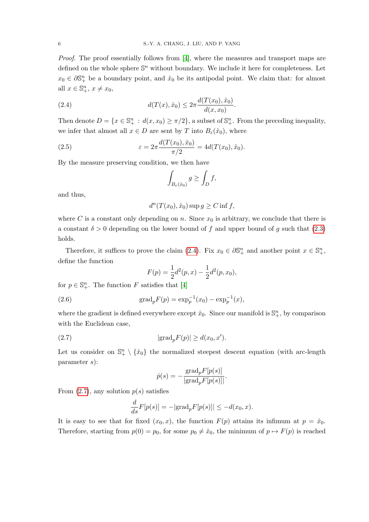Proof. The proof essentially follows from [\[4\]](#page-16-2), where the measures and transport maps are defined on the whole sphere  $\mathbb{S}^n$  without boundary. We include it here for completeness. Let  $x_0 \in \partial \mathbb{S}_{+}^n$  be a boundary point, and  $\hat{x}_0$  be its antipodal point. We claim that: for almost all  $x \in \mathbb{S}_{+}^{n}$ ,  $x \neq x_0$ ,

(2.4) 
$$
d(T(x), \hat{x}_0) \leq 2\pi \frac{d(T(x_0), \hat{x}_0)}{d(x, x_0)}.
$$

Then denote  $D = \{x \in \mathbb{S}_+^n : d(x, x_0) \ge \pi/2\}$ , a subset of  $\mathbb{S}_+^n$ . From the preceding inequality, we infer that almost all  $x \in D$  are sent by T into  $B_{\varepsilon}(\hat{x}_0)$ , where

(2.5) 
$$
\varepsilon = 2\pi \frac{d(T(x_0), \hat{x}_0)}{\pi/2} = 4d(T(x_0), \hat{x}_0).
$$

By the measure preserving condition, we then have

<span id="page-7-0"></span>
$$
\int_{B_{\varepsilon}(\hat{x}_0)} g \ge \int_D f,
$$

and thus,

$$
d^{n}(T(x_0),\hat{x}_0)\sup g \ge C \inf f,
$$

where C is a constant only depending on n. Since  $x_0$  is arbitrary, we conclude that there is a constant  $\delta > 0$  depending on the lower bound of f and upper bound of g such that [\(2.3\)](#page-6-0) holds.

Therefore, it suffices to prove the claim [\(2.4\)](#page-7-0). Fix  $x_0 \in \partial \mathbb{S}_{+}^n$  and another point  $x \in \mathbb{S}_{+}^n$ , define the function

$$
F(p) = \frac{1}{2}d^2(p,x) - \frac{1}{2}d^2(p,x_0),
$$

for  $p \in \mathbb{S}_{+}^{n}$ . The function F satisfies that [\[4\]](#page-16-2)

(2.6) 
$$
\text{grad}_p F(p) = \exp_p^{-1}(x_0) - \exp_p^{-1}(x),
$$

where the gradient is defined everywhere except  $\hat{x}_0$ . Since our manifold is  $\mathbb{S}^n_+$ , by comparison with the Euclidean case,

(2.7) 
$$
|\text{grad}_p F(p)| \ge d(x_0, x').
$$

Let us consider on  $\mathbb{S}^n_+ \setminus {\hat{x}_0}$  the normalized steepest descent equation (with arc-length parameter s):

<span id="page-7-1"></span>
$$
\dot{p}(s) = -\frac{\text{grad}_p F[p(s)]}{|\text{grad}_p F[p(s)]|}.
$$

From  $(2.7)$ , any solution  $p(s)$  satisfies

$$
\frac{d}{ds}F[p(s)] = -|\text{grad}_p F[p(s)]| \leq -d(x_0, x).
$$

It is easy to see that for fixed  $(x_0, x)$ , the function  $F(p)$  attains its infimum at  $p = \hat{x}_0$ . Therefore, starting from  $p(0) = p_0$ , for some  $p_0 \neq \hat{x}_0$ , the minimum of  $p \mapsto F(p)$  is reached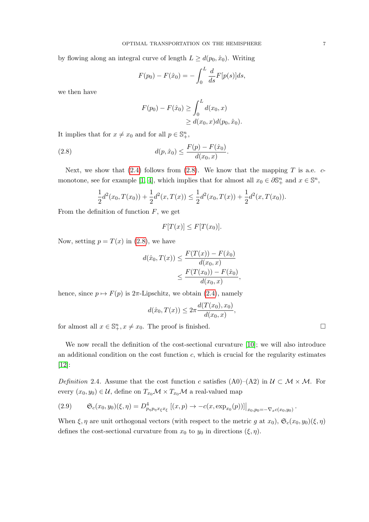by flowing along an integral curve of length  $L \geq d(p_0, \hat{x}_0)$ . Writing

$$
F(p_0) - F(\hat{x}_0) = -\int_0^L \frac{d}{ds} F[p(s)]ds,
$$

we then have

<span id="page-8-0"></span>
$$
F(p_0) - F(\hat{x}_0) \ge \int_0^L d(x_0, x) \ge d(x_0, x) d(p_0, \hat{x}_0).
$$

It implies that for  $x \neq x_0$  and for all  $p \in \mathbb{S}^n_+$ ,

(2.8) 
$$
d(p, \hat{x}_0) \leq \frac{F(p) - F(\hat{x}_0)}{d(x_0, x)}.
$$

Next, we show that  $(2.4)$  follows from  $(2.8)$ . We know that the mapping T is a.e. c-monotone, see for example [\[1,](#page-16-3) [4\]](#page-16-2), which implies that for almost all  $x_0 \in \partial \mathbb{S}^n_+$  and  $x \in \mathbb{S}^n$ ,

$$
\frac{1}{2}d^2(x_0,T(x_0)) + \frac{1}{2}d^2(x,T(x)) \le \frac{1}{2}d^2(x_0,T(x)) + \frac{1}{2}d^2(x,T(x_0)).
$$

From the definition of function  $F$ , we get

$$
F[T(x)] \le F[T(x_0)].
$$

Now, setting  $p = T(x)$  in [\(2.8\)](#page-8-0), we have

$$
d(\hat{x}_0, T(x)) \le \frac{F(T(x)) - F(\hat{x}_0)}{d(x_0, x)}
$$
  
 
$$
\le \frac{F(T(x_0)) - F(\hat{x}_0)}{d(x_0, x)},
$$

hence, since  $p \mapsto F(p)$  is  $2\pi$ -Lipschitz, we obtain [\(2.4\)](#page-7-0), namely

$$
d(\hat{x}_0, T(x)) \leq 2\pi \frac{d(T(x_0), x_0)}{d(x_0, x)},
$$

for almost all  $x \in \mathbb{S}_{+}^{n}$ ,  $x \neq x_0$ . The proof is finished.

We now recall the definition of the cost-sectional curvature [\[10\]](#page-16-4); we will also introduce an additional condition on the cost function c, which is crucial for the regularity estimates [\[12\]](#page-17-3):

Definition 2.4. Assume that the cost function c satisfies (A0)–(A2) in  $\mathcal{U} \subset \mathcal{M} \times \mathcal{M}$ . For every  $(x_0, y_0) \in \mathcal{U}$ , define on  $T_{x_0} \mathcal{M} \times T_{x_0} \mathcal{M}$  a real-valued map

<span id="page-8-1"></span>
$$
(2.9) \qquad \mathfrak{S}_c(x_0, y_0)(\xi, \eta) = D^4_{p_\eta p_\eta x_\xi x_\xi} [(x, p) \to -c(x, \exp_{x_0}(p))] \Big|_{x_0, p_0 = -\nabla_x c(x_0, y_0)}.
$$

When  $\xi, \eta$  are unit orthogonal vectors (with respect to the metric g at  $x_0$ ),  $\mathfrak{S}_c(x_0, y_0)(\xi, \eta)$ defines the cost-sectional curvature from  $x_0$  to  $y_0$  in directions  $(\xi, \eta)$ .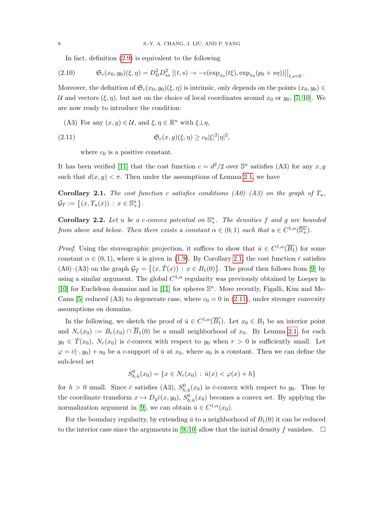In fact, definition [\(2.9\)](#page-8-1) is equivalent to the following

$$
(2.10) \t\t\t\t\t\mathfrak{S}_c(x_0,y_0)(\xi,\eta) = D_{tt}^2 D_{ss}^2 [(t,s) \to -c(\exp_{x_0}(t\xi), \exp_{x_0}(p_0+s\eta))] \big|_{t,s=0}.
$$

Moreover, the definition of  $\mathfrak{S}_c(x_0, y_0)(\xi, \eta)$  is intrinsic, only depends on the points  $(x_0, y_0) \in$ U and vectors  $(\xi, \eta)$ , but not on the choice of local coordinates around  $x_0$  or  $y_0$ , [\[7,](#page-16-5) [10\]](#page-16-4). We are now ready to introduce the condition:

(A3) For any  $(x, y) \in \mathcal{U}$ , and  $\xi, \eta \in \mathbb{R}^n$  with  $\xi \perp \eta$ ,

(2.11) 
$$
\mathfrak{S}_c(x,y)(\xi,\eta) \geq c_0|\xi|^2|\eta|^2,
$$

<span id="page-9-1"></span>where  $c_0$  is a positive constant.

It has been verified [\[11\]](#page-16-6) that the cost function  $c = d^2/2$  over  $\mathbb{S}^n$  satisfies (A3) for any  $x, y$ such that  $d(x, y) < \pi$ . Then under the assumptions of Lemma [2.1,](#page-6-1) we have

<span id="page-9-0"></span>**Corollary 2.1.** The cost function c satisfies conditions  $(A0)$ – $(A3)$  on the graph of  $T_u$ ,  $\mathcal{G}_T := \{(x, T_u(x)) : x \in \mathbb{S}^n_+\}.$ 

**Corollary 2.2.** Let u be a c-convex potential on  $\mathbb{S}^n_+$ . The densities f and g are bounded from above and below. Then there exists a constant  $\alpha \in (0,1)$  such that  $u \in C^{1,\alpha}(\overline{\mathbb{S}^n_+})$ .

*Proof.* Using the stereographic projection, it suffices to show that  $\bar{u} \in C^{1,\alpha}(\overline{B_1})$  for some constant  $\alpha \in (0, 1)$ , where  $\bar{u}$  is given in [\(1.9\)](#page-4-3). By Corollary [2.1,](#page-9-0) the cost function  $\bar{c}$  satisfies (A0)–(A3) on the graph  $\mathcal{G}_{\overline{T}} = \{(x, \overline{T}(x)) : x \in B_1(0)\}\.$  The proof then follows from [\[9\]](#page-16-7) by using a similar argument. The global  $C^{1,\alpha}$  regularity was previously obtained by Loeper in [\[10\]](#page-16-4) for Euclidean domains and in [\[11\]](#page-16-6) for spheres  $\mathbb{S}^n$ . More recently, Figalli, Kim and Mc-Cann [\[5\]](#page-16-8) reduced (A3) to degenerate case, where  $c_0 = 0$  in [\(2.11\)](#page-9-1), under stronger convexity assumptions on domains.

In the following, we sketch the proof of  $\bar{u} \in C^{1,\alpha}(\overline{B_1})$ . Let  $x_0 \in B_1$  be an interior point and  $N_r(x_0) := B_r(x_0) \cap \overline{B}_1(0)$  be a small neighborhood of  $x_0$ . By Lemma [2.1,](#page-6-1) for each  $y_0 \in \overline{T}(x_0)$ ,  $N_r(x_0)$  is  $\overline{c}$ -convex with respect to  $y_0$  when  $r > 0$  is sufficiently small. Let  $\varphi = \bar{c}(\cdot, y_0) + a_0$  be a c-support of  $\bar{u}$  at  $x_0$ , where  $a_0$  is a constant. Then we can define the sub-level set

$$
S_{h,\bar{u}}^0(x_0) = \{ x \in N_r(x_0) : \bar{u}(x) < \varphi(x) + h \}
$$

for  $h > 0$  small. Since  $\bar{c}$  satisfies (A3),  $S_{h,\bar{u}}^0(x_0)$  is  $\bar{c}$ -convex with respect to  $y_0$ . Thus by the coordinate transform  $x \mapsto D_y \bar{c}(x, y_0)$ ,  $S^0_{h, \bar{u}}(x_0)$  becomes a convex set. By applying the normalization argument in [\[9\]](#page-16-7), we can obtain  $\bar{u} \in C^{1,\alpha}(x_0)$ .

For the boundary regularity, by extending  $\bar{u}$  to a neighborhood of  $B_1(0)$  it can be reduced to the interior case since the arguments in [\[9,](#page-16-7) [10\]](#page-16-4) allow that the initial density f vanishes.  $\Box$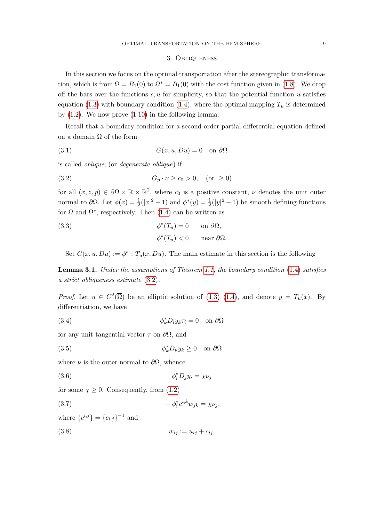#### 3. Obliqueness

In this section we focus on the optimal transportation after the stereographic transformation, which is from  $\Omega = B_1(0)$  to  $\Omega^* = B_1(0)$  with the cost function given in [\(1.8\)](#page-4-0). We drop off the bars over the functions  $c, u$  for simplicity, so that the potential function u satisfies equation [\(1.3\)](#page-3-0) with boundary condition [\(1.4\)](#page-3-1), where the optimal mapping  $T_u$  is determined by  $(1.2)$ . We now prove  $(1.10)$  in the following lemma.

Recall that a boundary condition for a second order partial differential equation defined on a domain  $\Omega$  of the form

(3.1) 
$$
G(x, u, Du) = 0 \text{ on } \partial\Omega
$$

is called oblique, (or degenerate oblique) if

<span id="page-10-0"></span>(3.2) 
$$
G_p \cdot \nu \ge c_0 > 0, \text{ (or } \ge 0)
$$

for all  $(x, z, p) \in \partial\Omega \times \mathbb{R} \times \mathbb{R}^2$ , where  $c_0$  is a positive constant,  $\nu$  denotes the unit outer normal to  $\partial\Omega$ . Let  $\phi(x) = \frac{1}{2}(|x|^2 - 1)$  and  $\phi^*(y) = \frac{1}{2}(|y|^2 - 1)$  be smooth defining functions for  $\Omega$  and  $\Omega^*$ , respectively. Then [\(1.4\)](#page-3-1) can be written as

(3.3) 
$$
\phi^*(T_u) = 0 \quad \text{on } \partial\Omega,
$$

$$
\phi^*(T_u) < 0 \quad \text{near } \partial\Omega.
$$

Set  $G(x, u, Du) := \phi^* \circ T_u(x, Du)$ . The main estimate in this section is the following

<span id="page-10-1"></span>**Lemma 3.1.** Under the assumptions of Theorem [1.1,](#page-4-4) the boundary condition  $(1.4)$  satisfies a strict obliqueness estimate [\(3.2\)](#page-10-0).

*Proof.* Let  $u \in C^2(\overline{\Omega})$  be an elliptic solution of [\(1.3\)](#page-3-0)–[\(1.4\)](#page-3-1), and denote  $y = T_u(x)$ . By differentiation, we have

(3.4) 
$$
\phi_k^* D_i y_k \tau_i = 0 \quad \text{on } \partial \Omega
$$

for any unit tangential vector  $\tau$  on  $\partial\Omega$ , and

(3.5) 
$$
\phi_k^* D_\nu y_k \ge 0 \quad \text{on } \partial \Omega
$$

where  $\nu$  is the outer normal to  $\partial\Omega$ , whence

$$
\phi_i^* D_j y_i = \chi \nu_j
$$

for some  $\chi \geq 0$ . Consequently, from [\(1.2\)](#page-2-0)

$$
(3.7) \t\t -\phi_i^* c^{i,k} w_{jk} = \chi \nu_j,
$$

where  ${c^{i,j}} = {c_{i,j}}^{-1}$  and

(3.8)  $w_{ij} := u_{ij} + c_{ij}$ .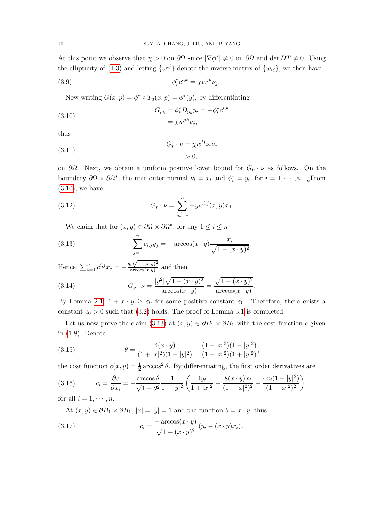At this point we observe that  $\chi > 0$  on  $\partial\Omega$  since  $|\nabla\phi^*| \neq 0$  on  $\partial\Omega$  and  $\det DT \neq 0$ . Using the ellipticity of [\(1.3\)](#page-3-0) and letting  $\{w^{ij}\}\$  denote the inverse matrix of  $\{w_{ij}\}\$ , we then have

$$
(3.9) \t\t -\phi_i^* c^{i,k} = \chi w^{jk} \nu_j.
$$

Now writing  $G(x, p) = \phi^* \circ T_u(x, p) = \phi^*(y)$ , by differentiating

<span id="page-11-0"></span>(3.10) 
$$
G_{p_k} = \phi_i^* D_{p_k} y_i = -\phi_i^* c^{i,k} = \chi w^{jk} \nu_j,
$$

thus

(3.11) 
$$
G_p \cdot \nu = \chi w^{ij} \nu_i \nu_j
$$

$$
> 0,
$$

on  $\partial\Omega$ . Next, we obtain a uniform positive lower bound for  $G_p \cdot \nu$  as follows. On the boundary  $\partial\Omega \times \partial\Omega^*$ , the unit outer normal  $\nu_i = x_i$  and  $\phi_i^* = y_i$ , for  $i = 1, \dots, n$ . ¿From  $(3.10)$ , we have

(3.12) 
$$
G_p \cdot \nu = \sum_{i,j=1}^n -y_i c^{i,j}(x,y) x_j.
$$

<span id="page-11-1"></span>We claim that for  $(x, y) \in \partial\Omega \times \partial\Omega^*$ , for any  $1 \leq i \leq n$ 

(3.13) 
$$
\sum_{j=1}^{n} c_{i,j} y_j = -\arccos(x \cdot y) \frac{x_i}{\sqrt{1 - (x \cdot y)^2}}.
$$

Hence,  $\sum_{i=1}^{n} c^{i,j} x_j = -\frac{y_i \sqrt{1-(x \cdot y)^2}}{\arccos(x \cdot y)}$  $\frac{d^2y}{\arccos(xy)}$  and then  $|y^2|\sqrt{1-(x\cdot y)^2}$ 

(3.14) 
$$
G_p \cdot \nu = \frac{|y^2|\sqrt{1-(x \cdot y)^2}}{\arccos(x \cdot y)} = \frac{\sqrt{1-(x \cdot y)^2}}{\arccos(x \cdot y)}.
$$

By Lemma [2.1,](#page-6-1)  $1 + x \cdot y \geq \varepsilon_0$  for some positive constant  $\varepsilon_0$ . Therefore, there exists a constant  $c_0 > 0$  such that [\(3.2\)](#page-10-0) holds. The proof of Lemma [3.1](#page-10-1) is completed.

Let us now prove the claim [\(3.13\)](#page-11-1) at  $(x, y) \in \partial B_1 \times \partial B_1$  with the cost function c given in [\(1.8\)](#page-4-0). Denote

<span id="page-11-2"></span>(3.15) 
$$
\theta = \frac{4(x \cdot y)}{(1+|x|^2)(1+|y|^2)} + \frac{(1-|x|^2)(1-|y|^2)}{(1+|x|^2)(1+|y|^2)},
$$

the cost function  $c(x, y) = \frac{1}{2} \arccos^2 \theta$ . By differentiating, the first order derivatives are

<span id="page-11-3"></span>(3.16) 
$$
c_i = \frac{\partial c}{\partial x_i} = -\frac{\arccos\theta}{\sqrt{1-\theta^2}} \frac{1}{1+|y|^2} \left( \frac{4y_i}{1+|x|^2} - \frac{8(x \cdot y)x_i}{(1+|x|^2)^2} - \frac{4x_i(1-|y|^2)}{(1+|x|^2)^2} \right)
$$

for all  $i = 1, \cdots, n$ .

<span id="page-11-4"></span>At  $(x, y) \in \partial B_1 \times \partial B_1$ ,  $|x| = |y| = 1$  and the function  $\theta = x \cdot y$ , thus  $(3.17)$  $-\arccos(x \cdot y)$  $\frac{a\cos(x-y)}{\sqrt{1-(x\cdot y)^2}}\left(y_i-(x\cdot y)x_i\right).$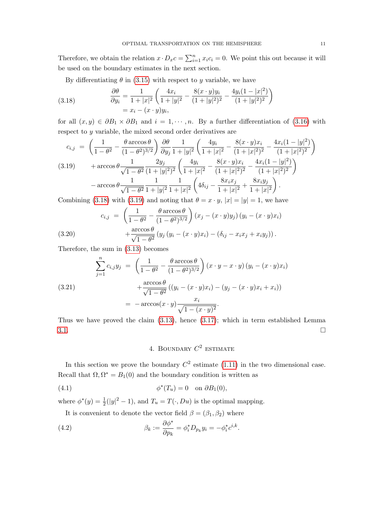Therefore, we obtain the relation  $x \cdot D_x c = \sum_{i=1}^n x_i c_i = 0$ . We point this out because it will be used on the boundary estimates in the next section.

By differentiating  $\theta$  in [\(3.15\)](#page-11-2) with respect to y variable, we have

<span id="page-12-0"></span>(3.18) 
$$
\frac{\partial \theta}{\partial y_i} = \frac{1}{1+|x|^2} \left( \frac{4x_i}{1+|y|^2} - \frac{8(x \cdot y)y_i}{(1+|y|^2)^2} - \frac{4y_i(1-|x|^2)}{(1+|y|^2)^2} \right) \n= x_i - (x \cdot y)y_i,
$$

for all  $(x, y) \in \partial B_1 \times \partial B_1$  and  $i = 1, \dots, n$ . By a further differentiation of [\(3.16\)](#page-11-3) with respect to y variable, the mixed second order derivatives are

<span id="page-12-1"></span>
$$
c_{i,j} = \left(\frac{1}{1-\theta^2} - \frac{\theta \arccos \theta}{(1-\theta^2)^{3/2}}\right) \frac{\partial \theta}{\partial y_j} \frac{1}{1+|y|^2} \left(\frac{4y_i}{1+|x|^2} - \frac{8(x \cdot y)x_i}{(1+|x|^2)^2} - \frac{4x_i(1-|y|^2)}{(1+|x|^2)^2}\right)
$$
  
(3.19) 
$$
+ \arccos \theta \frac{1}{\sqrt{1-\theta^2}} \frac{2y_j}{(1+|y|^2)^2} \left(\frac{4y_i}{1+|x|^2} - \frac{8(x \cdot y)x_i}{(1+|x|^2)^2} - \frac{4x_i(1-|y|^2)}{(1+|x|^2)^2}\right)
$$

$$
- \arccos \theta \frac{1}{\sqrt{1-\theta^2}} \frac{1}{1+|y|^2} \frac{1}{1+|x|^2} \left(4\delta_{ij} - \frac{8x_ix_j}{1+|x|^2} + \frac{8x_iy_j}{1+|x|^2}\right).
$$

Combining [\(3.18\)](#page-12-0) with [\(3.19\)](#page-12-1) and noting that  $\theta = x \cdot y$ ,  $|x| = |y| = 1$ , we have

(3.20) 
$$
c_{i,j} = \left(\frac{1}{1-\theta^2} - \frac{\theta \arccos \theta}{(1-\theta^2)^{3/2}}\right) (x_j - (x \cdot y)y_j) (y_i - (x \cdot y)x_i) + \frac{\arccos \theta}{\sqrt{1-\theta^2}} (y_j (y_i - (x \cdot y)x_i) - (\delta_{ij} - x_ix_j + x_iy_j)).
$$

Therefore, the sum in [\(3.13\)](#page-11-1) becomes

$$
\sum_{j=1}^{n} c_{i,j} y_j = \left( \frac{1}{1 - \theta^2} - \frac{\theta \arccos \theta}{(1 - \theta^2)^{3/2}} \right) (x \cdot y - x \cdot y) (y_i - (x \cdot y)x_i)
$$
  
(3.21)  

$$
+ \frac{\arccos \theta}{\sqrt{1 - \theta^2}} ((y_i - (x \cdot y)x_i) - (y_j - (x \cdot y)x_i + x_i))
$$
  

$$
= -\arccos(x \cdot y) \frac{x_i}{\sqrt{1 - (x \cdot y)^2}}.
$$

Thus we have proved the claim  $(3.13)$ , hence  $(3.17)$ ; which in term established Lemma  $3.1.$ 

4. BOUNDARY  $C^2$  estimate

In this section we prove the boundary  $C^2$  estimate [\(1.11\)](#page-4-1) in the two dimensional case. Recall that  $\Omega, \Omega^* = B_1(0)$  and the boundary condition is written as

(4.1) 
$$
\phi^*(T_u) = 0 \text{ on } \partial B_1(0),
$$

where  $\phi^*(y) = \frac{1}{2}(|y|^2 - 1)$ , and  $T_u = T(\cdot, Du)$  is the optimal mapping.

It is convenient to denote the vector field  $\beta = (\beta_1, \beta_2)$  where

(4.2) 
$$
\beta_k := \frac{\partial \phi^*}{\partial p_k} = \phi_i^* D_{p_k} y_i = -\phi_i^* c^{i,k}.
$$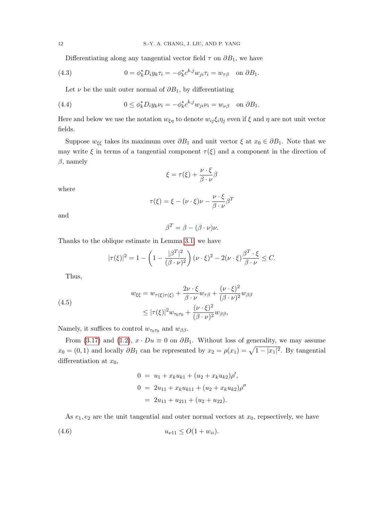<span id="page-13-1"></span>Differentiating along any tangential vector field  $\tau$  on  $\partial B_1$ , we have

(4.3) 
$$
0 = \phi_k^* D_i y_k \tau_i = -\phi_k^* c^{k,j} w_{ji} \tau_i = w_{\tau\beta} \text{ on } \partial B_1.
$$

Let  $\nu$  be the unit outer normal of  $\partial B_1$ , by differentiating

(4.4) 
$$
0 \leq \phi_k^* D_i y_k \nu_i = -\phi_k^* c^{k,j} w_{ji} \nu_i = w_{\nu\beta} \text{ on } \partial B_1.
$$

Here and below we use the notation  $w_{\xi\eta}$  to denote  $w_{ij}\xi_i\eta_j$  even if  $\xi$  and  $\eta$  are not unit vector fields.

Suppose  $w_{\xi\xi}$  takes its maximum over  $\partial B_1$  and unit vector  $\xi$  at  $x_0 \in \partial B_1$ . Note that we may write  $\xi$  in terms of a tangential component  $\tau(\xi)$  and a component in the direction of  $\beta$ , namely

$$
\xi = \tau(\xi) + \frac{\nu \cdot \xi}{\beta \cdot \nu} \beta
$$

where

$$
\tau(\xi) = \xi - (\nu \cdot \xi)\nu - \frac{\nu \cdot \xi}{\beta \cdot \nu} \beta^T
$$

and

 $\beta^T = \beta - (\beta \cdot \nu)\nu.$ 

Thanks to the oblique estimate in Lemma [3.1,](#page-10-1) we have

$$
|\tau(\xi)|^2 = 1 - \left(1 - \frac{|\beta^T|^2}{(\beta \cdot \nu)^2}\right) (\nu \cdot \xi)^2 - 2(\nu \cdot \xi) \frac{\beta^T \cdot \xi}{\beta \cdot \nu} \leq C.
$$

Thus,

<span id="page-13-2"></span>(4.5)  

$$
w_{\xi\xi} = w_{\tau(\xi)\tau(\xi)} + \frac{2\nu \cdot \xi}{\beta \cdot \nu} w_{\tau\beta} + \frac{(\nu \cdot \xi)^2}{(\beta \cdot \nu)^2} w_{\beta\beta}
$$

$$
\leq |\tau(\xi)|^2 w_{\tau_0\tau_0} + \frac{(\nu \cdot \xi)^2}{(\beta \cdot \nu)^2} w_{\beta\beta},
$$

Namely, it suffices to control  $w_{\tau_0\tau_0}$  and  $w_{\beta\beta}$ .

From [\(3.17\)](#page-11-4) and [\(1.2\)](#page-2-0),  $x \cdot Du \equiv 0$  on  $\partial B_1$ . Without loss of generality, we may assume  $x_0 = (0, 1)$  and locally  $\partial B_1$  can be represented by  $x_2 = \rho(x_1) = \sqrt{1 - |x_1|^2}$ . By tangential differentiation at  $x_0$ ,

<span id="page-13-0"></span>
$$
0 = u_1 + x_k u_{k1} + (u_2 + x_k u_{k2})\rho',
$$
  
\n
$$
0 = 2u_{11} + x_k u_{k11} + (u_2 + x_k u_{k2})\rho''
$$
  
\n
$$
= 2u_{11} + u_{211} + (u_2 + u_{22}).
$$

As  $e_1, e_2$  are the unit tangential and outer normal vectors at  $x_0$ , repsectively, we have

$$
(4.6) \t\t\t u_{\nu 11} \leq O(1+w_{ii}).
$$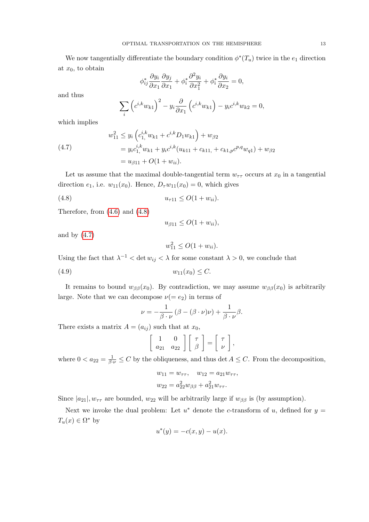We now tangentially differentiate the boundary condition  $\phi^*(T_u)$  twice in the  $e_1$  direction at  $x_0$ , to obtain

$$
\phi_{ij}^* \frac{\partial y_i}{\partial x_1} \frac{\partial y_j}{\partial x_1} + \phi_i^* \frac{\partial^2 y_i}{\partial x_1^2} + \phi_i^* \frac{\partial y_i}{\partial x_2} = 0,
$$

and thus

$$
\sum_{i} \left( c^{i,k} w_{k1} \right)^2 - y_i \frac{\partial}{\partial x_1} \left( c^{i,k} w_{k1} \right) - y_i c^{i,k} w_{k2} = 0,
$$

which implies

<span id="page-14-1"></span>(4.7) 
$$
w_{11}^2 \leq y_i \left( c_{1,}^{i,k} w_{k1} + c^{i,k} D_1 w_{k1} \right) + w_{\beta 2}
$$

$$
= y_i c_{1,}^{i,k} w_{k1} + y_i c^{i,k} (u_{k11} + c_{k11,} + c_{k1,p} c^{p,q} w_{q1}) + w_{\beta 2}
$$

$$
= u_{\beta 11} + O(1 + w_{ii}).
$$

Let us assume that the maximal double-tangential term  $w_{\tau\tau}$  occurs at  $x_0$  in a tangential direction  $e_1$ , i.e.  $w_{11}(x_0)$ . Hence,  $D_\tau w_{11}(x_0) = 0$ , which gives

$$
(4.8) \t\t\t u_{\tau 11} \le O(1+w_{ii}).
$$

Therefore, from [\(4.6\)](#page-13-0) and [\(4.8\)](#page-14-0)

<span id="page-14-0"></span>
$$
u_{\beta 11} \le O(1 + w_{ii}),
$$

and by  $(4.7)$ 

<span id="page-14-2"></span>
$$
w_{11}^2 \le O(1 + w_{ii}).
$$

Using the fact that  $\lambda^{-1} < \det w_{ij} < \lambda$  for some constant  $\lambda > 0$ , we conclude that

$$
(4.9) \t\t\t w_{11}(x_0) \le C.
$$

It remains to bound  $w_{\beta\beta}(x_0)$ . By contradiction, we may assume  $w_{\beta\beta}(x_0)$  is arbitrarily large. Note that we can decompose  $\nu(= e_2)$  in terms of

$$
\nu = -\frac{1}{\beta \cdot \nu} (\beta - (\beta \cdot \nu)\nu) + \frac{1}{\beta \cdot \nu} \beta.
$$

There exists a matrix  $A = (a_{ij})$  such that at  $x_0$ ,

$$
\left[\begin{array}{cc} 1 & 0 \\ a_{21} & a_{22} \end{array}\right] \left[\begin{array}{c} \tau \\ \beta \end{array}\right] = \left[\begin{array}{c} \tau \\ \nu \end{array}\right],
$$

where  $0 < a_{22} = \frac{1}{\beta \cdot \nu} \leq C$  by the obliqueness, and thus det  $A \leq C$ . From the decomposition,

$$
w_{11} = w_{\tau\tau}, \quad w_{12} = a_{21}w_{\tau\tau},
$$
  

$$
w_{22} = a_{22}^2 w_{\beta\beta} + a_{21}^2 w_{\tau\tau}.
$$

Since  $|a_{21}|, w_{\tau\tau}$  are bounded,  $w_{22}$  will be arbitrarily large if  $w_{\beta\beta}$  is (by assumption).

Next we invoke the dual problem: Let  $u^*$  denote the c-transform of u, defined for  $y =$  $T_u(x) \in \Omega^*$  by

$$
u^*(y) = -c(x, y) - u(x).
$$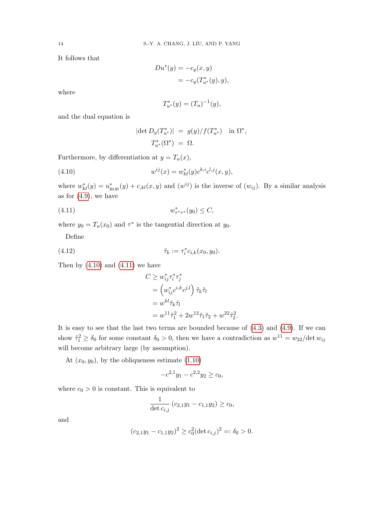It follows that

$$
Du^*(y) = -c_y(x, y)
$$
  
=  $-c_y(T^*_{u^*}(y), y),$ 

where

$$
T_{u^*}^*(y) = (T_u)^{-1}(y),
$$

and the dual equation is

<span id="page-15-0"></span>
$$
|\det D_y(T_{u^*}^*)| = g(y)/f(T_{u^*}^*) \quad \text{in } \Omega^*,
$$
  

$$
T_{u^*}^*(\Omega^*) = \Omega.
$$

Furthermore, by differentiation at  $y = T_u(x)$ ,

(4.10) 
$$
w^{ij}(x) = w_{kl}^*(y)c^{k,i}c^{l,j}(x,y),
$$

where  $w_{kl}^*(y) = u_{y_k y_l}^*(y) + c_{kl}(x, y)$  and  $(w^{ij})$  is the inverse of  $(w_{ij})$ . By a similar analysis as for  $(4.9)$ , we have

$$
(4.11) \t\t\t w_{\tau^*\tau^*}^*(y_0) \le C,
$$

where  $y_0 = T_u(x_0)$  and  $\tau^*$  is the tangential direction at  $y_0$ .

Define

(4.12) 
$$
\tilde{\tau}_k := \tau_i^* c_{i,k}(x_0, y_0).
$$

Then by  $(4.10)$  and  $(4.11)$  we have

<span id="page-15-2"></span><span id="page-15-1"></span>
$$
C \geq w_{ij}^* \tau_i^* \tau_j^*
$$
  
= 
$$
(w_{ij}^* c^{i,k} c^{j,l}) \tilde{\tau}_k \tilde{\tau}_l
$$
  
= 
$$
w^{kl} \tilde{\tau}_k \tilde{\tau}_l
$$
  
= 
$$
w^{11} \tilde{\tau}_1^2 + 2w^{12} \tilde{\tau}_1 \tilde{\tau}_2 + w^{22} \tilde{\tau}_2^2.
$$

It is easy to see that the last two terms are bounded because of [\(4.3\)](#page-13-1) and [\(4.9\)](#page-14-2). If we can show  $\tilde{\tau}_1^2 \ge \delta_0$  for some constant  $\delta_0 > 0$ , then we have a contradiction as  $w^{11} = w_{22}/\text{det} w_{ij}$ will become arbitrary large (by assumption).

At  $(x_0, y_0)$ , by the obliqueness estimate  $(1.10)$ 

$$
-c^{2,1}y_1 - c^{2,2}y_2 \ge c_0,
$$

where  $c_0 > 0$  is constant. This is equivalent to

$$
\frac{1}{\det c_{i,j}} (c_{2,1}y_1 - c_{1,1}y_2) \ge c_0,
$$

and

$$
(c_{2,1}y_1 - c_{1,1}y_2)^2 \ge c_0^2 (\det c_{i,j})^2 =: \delta_0 > 0.
$$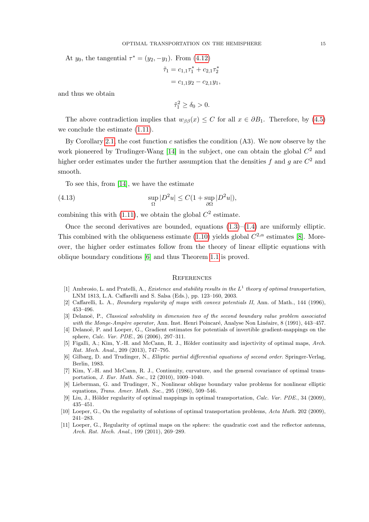At  $y_0$ , the tangential  $\tau^* = (y_2, -y_1)$ . From  $(4.12)$ 

$$
\tilde{\tau}_1 = c_{1,1}\tau_1^* + c_{2,1}\tau_2^*
$$

$$
= c_{1,1}y_2 - c_{2,1}y_1,
$$

and thus we obtain

 $\tilde{\tau}_1^2 \ge \delta_0 > 0.$ 

The above contradiction implies that  $w_{\beta\beta}(x) \leq C$  for all  $x \in \partial B_1$ . Therefore, by [\(4.5\)](#page-13-2) we conclude the estimate [\(1.11\)](#page-4-1).

By Corollary [2.1,](#page-9-0) the cost function  $c$  satisfies the condition  $(A3)$ . We now observe by the work pioneered by Trudinger-Wang  $[14]$  in the subject, one can obtain the global  $C<sup>2</sup>$  and higher order estimates under the further assumption that the densities f and g are  $C^2$  and smooth.

To see this, from [\[14\]](#page-17-0), we have the estimate

(4.13) 
$$
\sup_{\Omega} |D^2 u| \le C(1 + \sup_{\partial \Omega} |D^2 u|),
$$

combining this with  $(1.11)$ , we obtain the global  $C^2$  estimate.

Once the second derivatives are bounded, equations  $(1.3)$ – $(1.4)$  are uniformly elliptic. This combined with the obliqueness estimate [\(1.10\)](#page-4-2) yields global  $C^{2,\alpha}$  estimates [\[8\]](#page-16-9). Moreover, the higher order estimates follow from the theory of linear elliptic equations with oblique boundary conditions [\[6\]](#page-16-10) and thus Theorem [1.1](#page-4-4) is proved.

#### **REFERENCES**

- <span id="page-16-3"></span>[1] Ambrosio, L. and Pratelli, A., *Existence and stability results in the*  $L^1$  *theory of optimal transportation*, LNM 1813, L.A. Caffarelli and S. Salsa (Eds.), pp. 123–160, 2003.
- <span id="page-16-0"></span>[2] Caffarelli, L. A., Boundary regularity of maps with convex potentials II, Ann. of Math., 144 (1996), 453–496.
- <span id="page-16-1"></span>[3] Delanoë, P., Classical solvability in dimension two of the second boundary value problem associated with the Monge-Ampère operator, Ann. Inst. Henri Poincaré, Analyse Non Linéaire, 8 (1991), 443–457.
- <span id="page-16-2"></span>[4] Delanoë, P. and Loeper, G., Gradient estimates for potentials of invertible gradient-mappings on the sphere, Calc. Var. PDE., 26 (2006), 297–311.
- <span id="page-16-8"></span>[5] Figalli, A.; Kim, Y.-H. and McCann, R. J., Hölder continuity and injectivity of optimal maps, Arch. Rat. Mech. Anal., 209 (2013), 747–795.
- <span id="page-16-10"></span>[6] Gilbarg, D. and Trudinger, N., Elliptic partial differential equations of second order. Springer-Verlag, Berlin, 1983.
- <span id="page-16-5"></span>[7] Kim, Y.-H. and McCann, R. J., Continuity, curvature, and the general covariance of optimal transportation, J. Eur. Math. Soc., 12 (2010), 1009–1040.
- <span id="page-16-9"></span>[8] Lieberman, G. and Trudinger, N., Nonlinear oblique boundary value problems for nonlinear elliptic equations, Trans. Amer. Math. Soc., 295 (1986), 509–546.
- <span id="page-16-7"></span>[9] Liu, J., Hölder regularity of optimal mappings in optimal transportation, Calc. Var. PDE., 34 (2009), 435–451.
- <span id="page-16-4"></span>[10] Loeper, G., On the regularity of solutions of optimal transportation problems, Acta Math. 202 (2009), 241–283.
- <span id="page-16-6"></span>[11] Loeper, G., Regularity of optimal maps on the sphere: the quadratic cost and the reflector antenna, Arch. Rat. Mech. Anal., 199 (2011), 269–289.